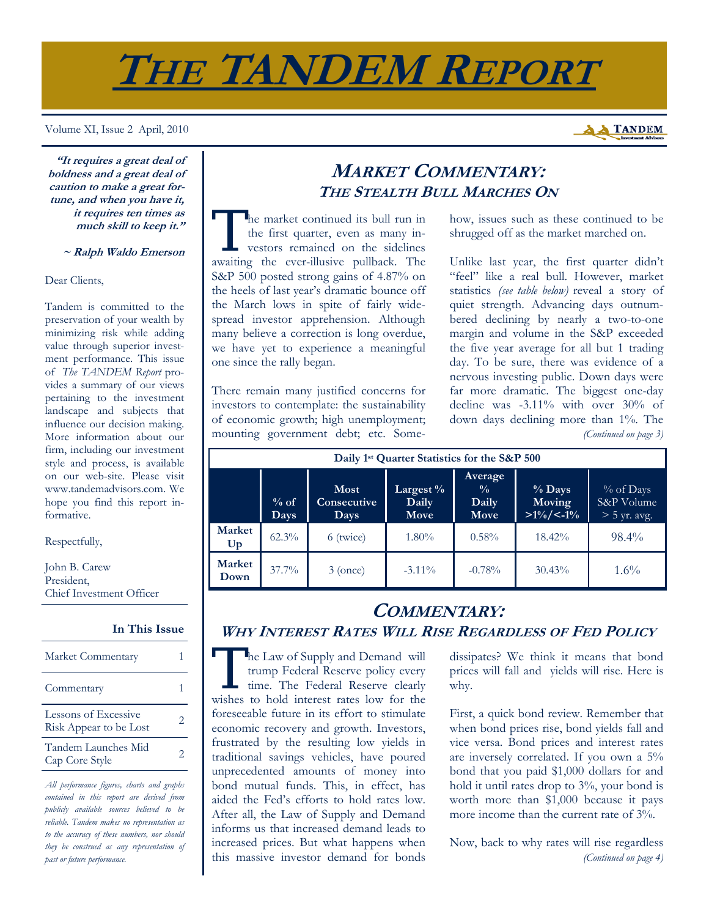# **THE TANDEM REPORT**

#### Volume XI, Issue 2 April, 2010

**"It requires a great deal of boldness and a great deal of caution to make a great fortune, and when you have it, it requires ten times as much skill to keep it."** 

### **~ Ralph Waldo Emerson**

### Dear Clients,

Tandem is committed to the preservation of your wealth by minimizing risk while adding value through superior investment performance. This issue of *The TANDEM Report* provides a summary of our views pertaining to the investment landscape and subjects that influence our decision making. More information about our firm, including our investment style and process, is available on our web-site. Please visit www.tandemadvisors.com. We hope you find this report informative.

### Respectfully,

John B. Carew President, Chief Investment Officer

#### **In This Issue**

| Market Commentary                              |                       |
|------------------------------------------------|-----------------------|
| Commentary                                     |                       |
| Lessons of Excessive<br>Risk Appear to be Lost | $\mathcal{D}_{\cdot}$ |
| Tandem Launches Mid<br>Cap Core Style          | 2                     |

*All performance figures, charts and graphs contained in this report are derived from publicly available sources believed to be reliable. Tandem makes no representation as to the accuracy of these numbers, nor should they be construed as any representation of past or future performance.* 

### **MARKET COMMENTARY: THE STEALTH BULL MARCHES ON**

The market continued its bull run in<br>the first quarter, even as many in-<br>vestors remained on the sidelines the first quarter, even as many investors remained on the sidelines awaiting the ever-illusive pullback. The S&P 500 posted strong gains of 4.87% on the heels of last year's dramatic bounce off the March lows in spite of fairly widespread investor apprehension. Although many believe a correction is long overdue, we have yet to experience a meaningful one since the rally began.

There remain many justified concerns for investors to contemplate: the sustainability of economic growth; high unemployment; mounting government debt; etc. Somehow, issues such as these continued to be shrugged off as the market marched on.

Unlike last year, the first quarter didn't "feel" like a real bull. However, market statistics *(see table below)* reveal a story of quiet strength. Advancing days outnumbered declining by nearly a two-to-one margin and volume in the S&P exceeded the five year average for all but 1 trading day. To be sure, there was evidence of a nervous investing public. Down days were far more dramatic. The biggest one-day decline was -3.11% with over 30% of down days declining more than 1%. The *(Continued on page 3)* 

| Daily 1 <sup>st</sup> Quarter Statistics for the S&P 500 |                |                             |                            |                                                  |                                    |                                           |  |  |  |
|----------------------------------------------------------|----------------|-----------------------------|----------------------------|--------------------------------------------------|------------------------------------|-------------------------------------------|--|--|--|
|                                                          | $%$ of<br>Days | Most<br>Consecutive<br>Days | Largest %<br>Daily<br>Move | Average<br>$\frac{0}{0}$<br>Daily<br><b>Move</b> | $%$ Days<br>Moving<br>$>1\%/<-1\%$ | % of Days<br>S&P Volume<br>$>$ 5 yr. avg. |  |  |  |
| <b>Market</b><br>Up                                      | $62.3\%$       | 6 (twice)                   | $1.80\%$                   | $0.58\%$                                         | 18.42%                             | $98.4\%$                                  |  |  |  |
| <b>Market</b><br>Down                                    | $37.7\%$       | $3$ (once)                  | $-3.11\%$                  | $-0.78%$                                         | 30.43%                             | $1.6\%$                                   |  |  |  |

### **COMMENTARY: WHY INTEREST RATES WILL RISE REGARDLESS OF FED POLICY**

The Law of Supply and Demand will<br>trump Federal Reserve policy every<br>time. The Federal Reserve clearly<br>wishes to hold interest rates low for the trump Federal Reserve policy every time. The Federal Reserve clearly wishes to hold interest rates low for the foreseeable future in its effort to stimulate economic recovery and growth. Investors, frustrated by the resulting low yields in traditional savings vehicles, have poured unprecedented amounts of money into bond mutual funds. This, in effect, has aided the Fed's efforts to hold rates low. After all, the Law of Supply and Demand informs us that increased demand leads to increased prices. But what happens when this massive investor demand for bonds

dissipates? We think it means that bond prices will fall and yields will rise. Here is why.

First, a quick bond review. Remember that when bond prices rise, bond yields fall and vice versa. Bond prices and interest rates are inversely correlated. If you own a 5% bond that you paid \$1,000 dollars for and hold it until rates drop to 3%, your bond is worth more than \$1,000 because it pays more income than the current rate of 3%.

Now, back to why rates will rise regardless *(Continued on page 4)* 

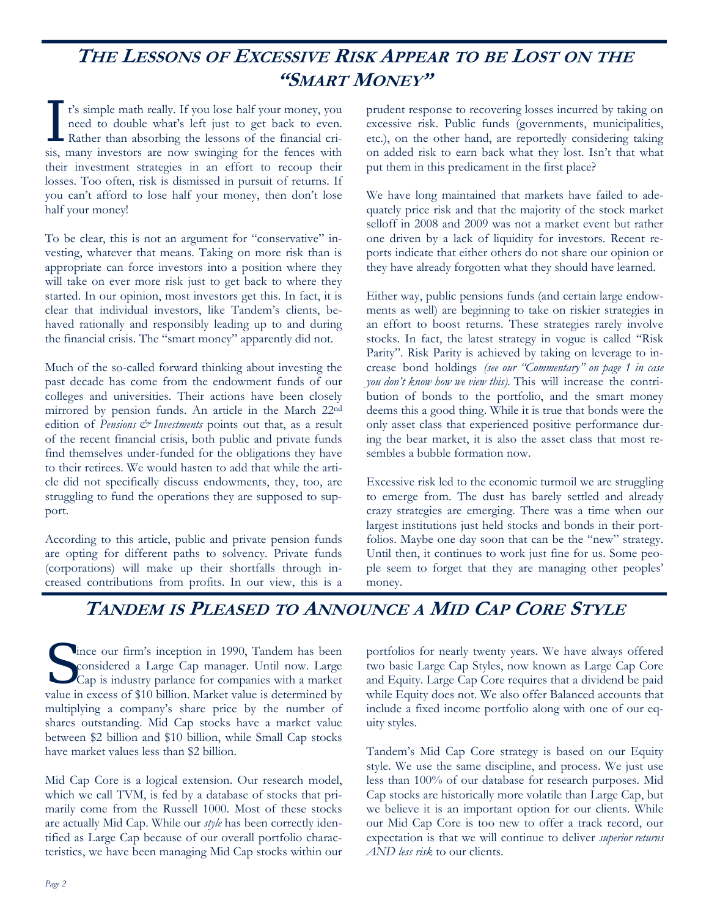# **THE LESSONS OF EXCESSIVE RISK APPEAR TO BE LOST ON THE "SMART MONEY"**

It's simple math really. If you lose half your money, you need to double what's left just to get back to even.<br>Rather than absorbing the lessons of the financial crineed to double what's left just to get back to even. sis, many investors are now swinging for the fences with their investment strategies in an effort to recoup their losses. Too often, risk is dismissed in pursuit of returns. If you can't afford to lose half your money, then don't lose half your money!

To be clear, this is not an argument for "conservative" investing, whatever that means. Taking on more risk than is appropriate can force investors into a position where they will take on ever more risk just to get back to where they started. In our opinion, most investors get this. In fact, it is clear that individual investors, like Tandem's clients, behaved rationally and responsibly leading up to and during the financial crisis. The "smart money" apparently did not.

Much of the so-called forward thinking about investing the past decade has come from the endowment funds of our colleges and universities. Their actions have been closely mirrored by pension funds. An article in the March 22nd edition of *Pensions*  $\dot{\mathcal{C}}$  *Investments* points out that, as a result of the recent financial crisis, both public and private funds find themselves under-funded for the obligations they have to their retirees. We would hasten to add that while the article did not specifically discuss endowments, they, too, are struggling to fund the operations they are supposed to support.

According to this article, public and private pension funds are opting for different paths to solvency. Private funds (corporations) will make up their shortfalls through increased contributions from profits. In our view, this is a

prudent response to recovering losses incurred by taking on excessive risk. Public funds (governments, municipalities, etc.), on the other hand, are reportedly considering taking on added risk to earn back what they lost. Isn't that what put them in this predicament in the first place?

We have long maintained that markets have failed to adequately price risk and that the majority of the stock market selloff in 2008 and 2009 was not a market event but rather one driven by a lack of liquidity for investors. Recent reports indicate that either others do not share our opinion or they have already forgotten what they should have learned.

Either way, public pensions funds (and certain large endowments as well) are beginning to take on riskier strategies in an effort to boost returns. These strategies rarely involve stocks. In fact, the latest strategy in vogue is called "Risk Parity". Risk Parity is achieved by taking on leverage to increase bond holdings *(see our "Commentary" on page 1 in case you don't know how we view this).* This will increase the contribution of bonds to the portfolio, and the smart money deems this a good thing. While it is true that bonds were the only asset class that experienced positive performance during the bear market, it is also the asset class that most resembles a bubble formation now.

Excessive risk led to the economic turmoil we are struggling to emerge from. The dust has barely settled and already crazy strategies are emerging. There was a time when our largest institutions just held stocks and bonds in their portfolios. Maybe one day soon that can be the "new" strategy. Until then, it continues to work just fine for us. Some people seem to forget that they are managing other peoples' money.

## **TANDEM IS PLEASED TO ANNOUNCE A MID CAP CORE STYLE**

S ince our firm's inception in 1990, Tandem has been<br>
cap is industry parlance for companies with a market<br>
cap is marge of \$10 billian. Market release in determined by considered a Large Cap manager. Until now. Large value in excess of \$10 billion. Market value is determined by multiplying a company's share price by the number of shares outstanding. Mid Cap stocks have a market value between \$2 billion and \$10 billion, while Small Cap stocks have market values less than \$2 billion.

Mid Cap Core is a logical extension. Our research model, which we call TVM, is fed by a database of stocks that primarily come from the Russell 1000. Most of these stocks are actually Mid Cap. While our *style* has been correctly identified as Large Cap because of our overall portfolio characteristics, we have been managing Mid Cap stocks within our portfolios for nearly twenty years. We have always offered two basic Large Cap Styles, now known as Large Cap Core and Equity. Large Cap Core requires that a dividend be paid while Equity does not. We also offer Balanced accounts that include a fixed income portfolio along with one of our equity styles.

Tandem's Mid Cap Core strategy is based on our Equity style. We use the same discipline, and process. We just use less than 100% of our database for research purposes. Mid Cap stocks are historically more volatile than Large Cap, but we believe it is an important option for our clients. While our Mid Cap Core is too new to offer a track record, our expectation is that we will continue to deliver *superior returns AND less risk* to our clients.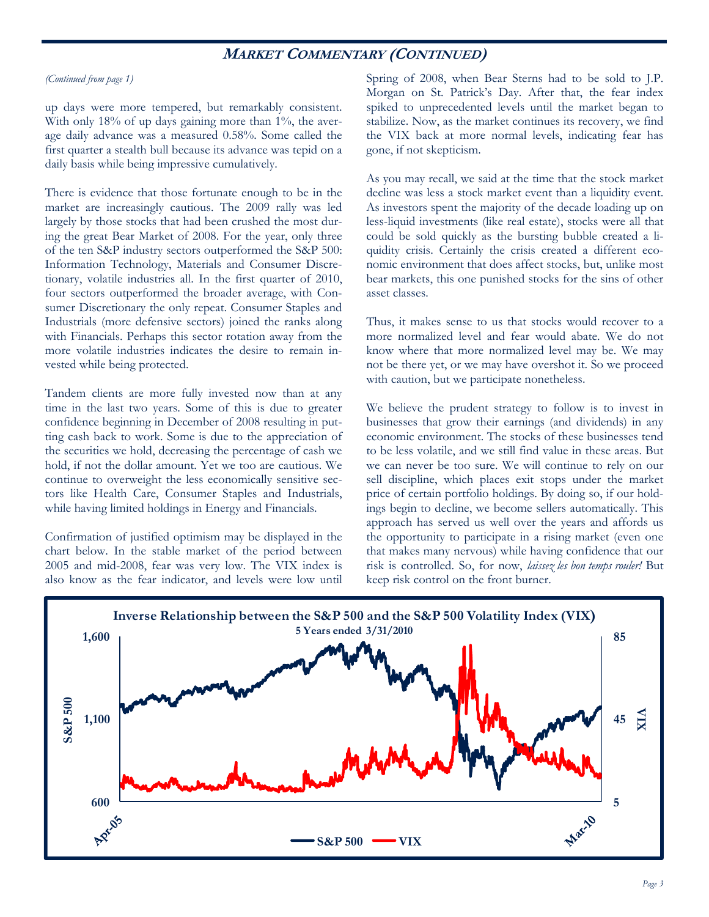### **MARKET COMMENTARY (CONTINUED)**

#### *(Continued from page 1)*

up days were more tempered, but remarkably consistent. With only 18% of up days gaining more than 1%, the average daily advance was a measured 0.58%. Some called the first quarter a stealth bull because its advance was tepid on a daily basis while being impressive cumulatively.

There is evidence that those fortunate enough to be in the market are increasingly cautious. The 2009 rally was led largely by those stocks that had been crushed the most during the great Bear Market of 2008. For the year, only three of the ten S&P industry sectors outperformed the S&P 500: Information Technology, Materials and Consumer Discretionary, volatile industries all. In the first quarter of 2010, four sectors outperformed the broader average, with Consumer Discretionary the only repeat. Consumer Staples and Industrials (more defensive sectors) joined the ranks along with Financials. Perhaps this sector rotation away from the more volatile industries indicates the desire to remain invested while being protected.

Tandem clients are more fully invested now than at any time in the last two years. Some of this is due to greater confidence beginning in December of 2008 resulting in putting cash back to work. Some is due to the appreciation of the securities we hold, decreasing the percentage of cash we hold, if not the dollar amount. Yet we too are cautious. We continue to overweight the less economically sensitive sectors like Health Care, Consumer Staples and Industrials, while having limited holdings in Energy and Financials.

Confirmation of justified optimism may be displayed in the chart below. In the stable market of the period between 2005 and mid-2008, fear was very low. The VIX index is also know as the fear indicator, and levels were low until

Spring of 2008, when Bear Sterns had to be sold to J.P. Morgan on St. Patrick's Day. After that, the fear index spiked to unprecedented levels until the market began to stabilize. Now, as the market continues its recovery, we find the VIX back at more normal levels, indicating fear has gone, if not skepticism.

As you may recall, we said at the time that the stock market decline was less a stock market event than a liquidity event. As investors spent the majority of the decade loading up on less-liquid investments (like real estate), stocks were all that could be sold quickly as the bursting bubble created a liquidity crisis. Certainly the crisis created a different economic environment that does affect stocks, but, unlike most bear markets, this one punished stocks for the sins of other asset classes.

Thus, it makes sense to us that stocks would recover to a more normalized level and fear would abate. We do not know where that more normalized level may be. We may not be there yet, or we may have overshot it. So we proceed with caution, but we participate nonetheless.

We believe the prudent strategy to follow is to invest in businesses that grow their earnings (and dividends) in any economic environment. The stocks of these businesses tend to be less volatile, and we still find value in these areas. But we can never be too sure. We will continue to rely on our sell discipline, which places exit stops under the market price of certain portfolio holdings. By doing so, if our holdings begin to decline, we become sellers automatically. This approach has served us well over the years and affords us the opportunity to participate in a rising market (even one that makes many nervous) while having confidence that our risk is controlled. So, for now, *laissez les bon temps rouler!* But keep risk control on the front burner.

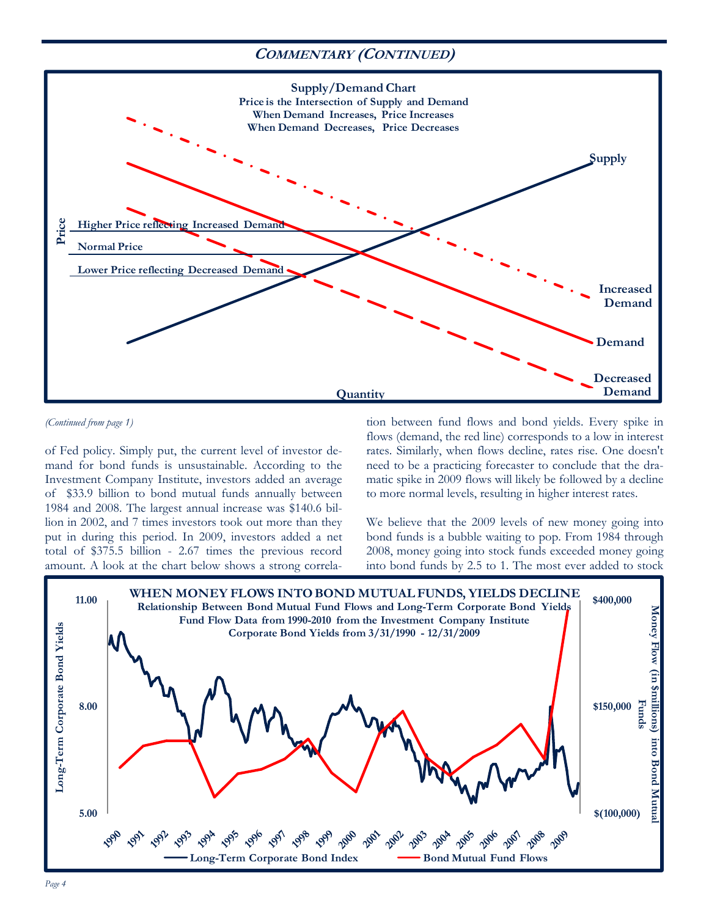### **COMMENTARY (CONTINUED)**



*<sup>(</sup>Continued from page 1)* 

of Fed policy. Simply put, the current level of investor demand for bond funds is unsustainable. According to the Investment Company Institute, investors added an average of \$33.9 billion to bond mutual funds annually between 1984 and 2008. The largest annual increase was \$140.6 billion in 2002, and 7 times investors took out more than they put in during this period. In 2009, investors added a net total of \$375.5 billion - 2.67 times the previous record amount. A look at the chart below shows a strong correlation between fund flows and bond yields. Every spike in flows (demand, the red line) corresponds to a low in interest rates. Similarly, when flows decline, rates rise. One doesn't need to be a practicing forecaster to conclude that the dramatic spike in 2009 flows will likely be followed by a decline to more normal levels, resulting in higher interest rates.

We believe that the 2009 levels of new money going into bond funds is a bubble waiting to pop. From 1984 through 2008, money going into stock funds exceeded money going into bond funds by 2.5 to 1. The most ever added to stock

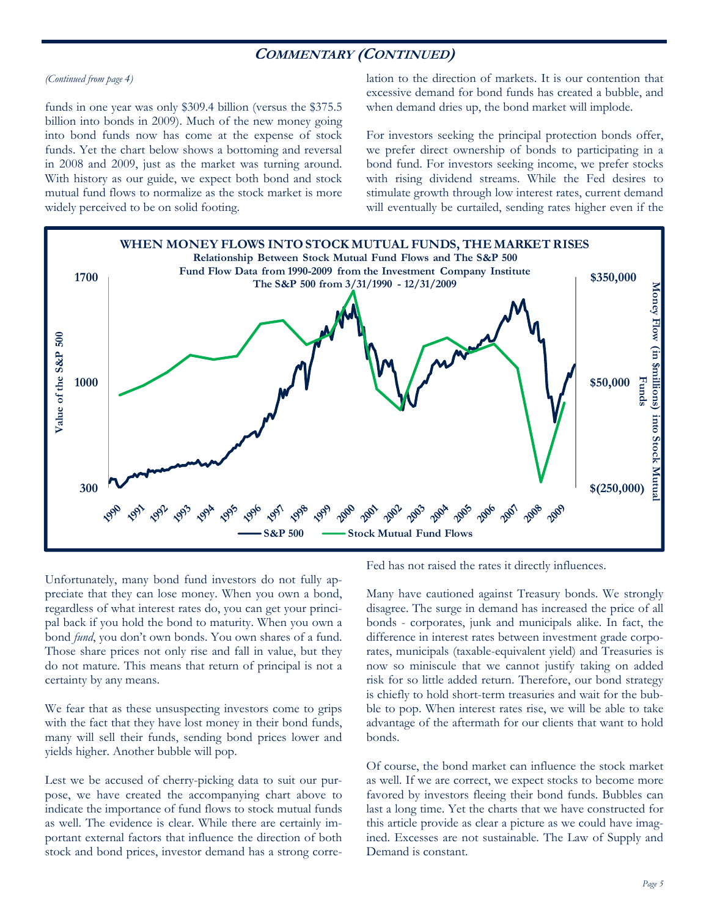### **COMMENTARY (CONTINUED)**

#### *(Continued from page 4)*

funds in one year was only \$309.4 billion (versus the \$375.5 billion into bonds in 2009). Much of the new money going into bond funds now has come at the expense of stock funds. Yet the chart below shows a bottoming and reversal in 2008 and 2009, just as the market was turning around. With history as our guide, we expect both bond and stock mutual fund flows to normalize as the stock market is more widely perceived to be on solid footing.

lation to the direction of markets. It is our contention that excessive demand for bond funds has created a bubble, and when demand dries up, the bond market will implode.

For investors seeking the principal protection bonds offer, we prefer direct ownership of bonds to participating in a bond fund. For investors seeking income, we prefer stocks with rising dividend streams. While the Fed desires to stimulate growth through low interest rates, current demand will eventually be curtailed, sending rates higher even if the



Unfortunately, many bond fund investors do not fully appreciate that they can lose money. When you own a bond, regardless of what interest rates do, you can get your principal back if you hold the bond to maturity. When you own a bond *fund*, you don't own bonds. You own shares of a fund. Those share prices not only rise and fall in value, but they do not mature. This means that return of principal is not a certainty by any means.

We fear that as these unsuspecting investors come to grips with the fact that they have lost money in their bond funds, many will sell their funds, sending bond prices lower and yields higher. Another bubble will pop.

Lest we be accused of cherry-picking data to suit our purpose, we have created the accompanying chart above to indicate the importance of fund flows to stock mutual funds as well. The evidence is clear. While there are certainly important external factors that influence the direction of both stock and bond prices, investor demand has a strong correFed has not raised the rates it directly influences.

Many have cautioned against Treasury bonds. We strongly disagree. The surge in demand has increased the price of all bonds - corporates, junk and municipals alike. In fact, the difference in interest rates between investment grade corporates, municipals (taxable-equivalent yield) and Treasuries is now so miniscule that we cannot justify taking on added risk for so little added return. Therefore, our bond strategy is chiefly to hold short-term treasuries and wait for the bubble to pop. When interest rates rise, we will be able to take advantage of the aftermath for our clients that want to hold bonds.

Of course, the bond market can influence the stock market as well. If we are correct, we expect stocks to become more favored by investors fleeing their bond funds. Bubbles can last a long time. Yet the charts that we have constructed for this article provide as clear a picture as we could have imagined. Excesses are not sustainable. The Law of Supply and Demand is constant.